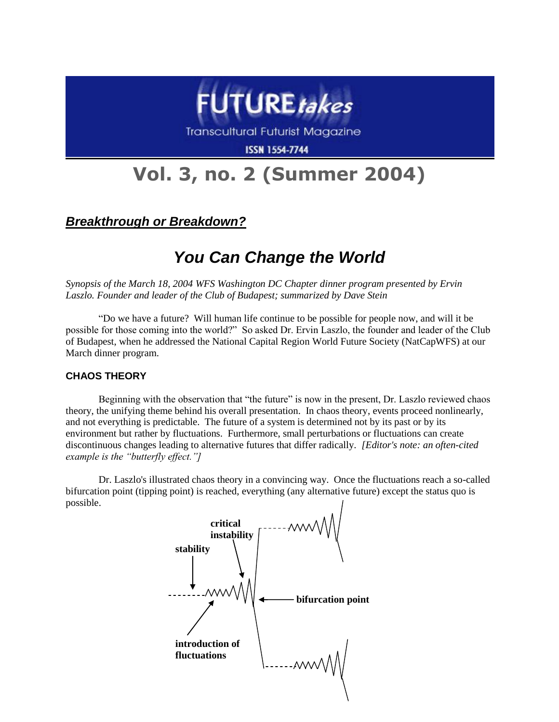

**Transcultural Futurist Magazine** 

**ISSN 1554-7744** 

# **Vol. 3, no. 2 (Summer 2004)**

*Breakthrough or Breakdown?*

# *You Can Change the World*

*Synopsis of the March 18, 2004 WFS Washington DC Chapter dinner program presented by Ervin Laszlo. Founder and leader of the Club of Budapest; summarized by Dave Stein*

"Do we have a future? Will human life continue to be possible for people now, and will it be possible for those coming into the world?" So asked Dr. Ervin Laszlo, the founder and leader of the Club of Budapest, when he addressed the National Capital Region World Future Society (NatCapWFS) at our March dinner program.

# **CHAOS THEORY**

Beginning with the observation that "the future" is now in the present, Dr. Laszlo reviewed chaos theory, the unifying theme behind his overall presentation. In chaos theory, events proceed nonlinearly, and not everything is predictable. The future of a system is determined not by its past or by its environment but rather by fluctuations. Furthermore, small perturbations or fluctuations can create discontinuous changes leading to alternative futures that differ radically. *[Editor's note: an often-cited example is the "butterfly effect."]*

Dr. Laszlo's illustrated chaos theory in a convincing way. Once the fluctuations reach a so-called bifurcation point (tipping point) is reached, everything (any alternative future) except the status quo is possible.

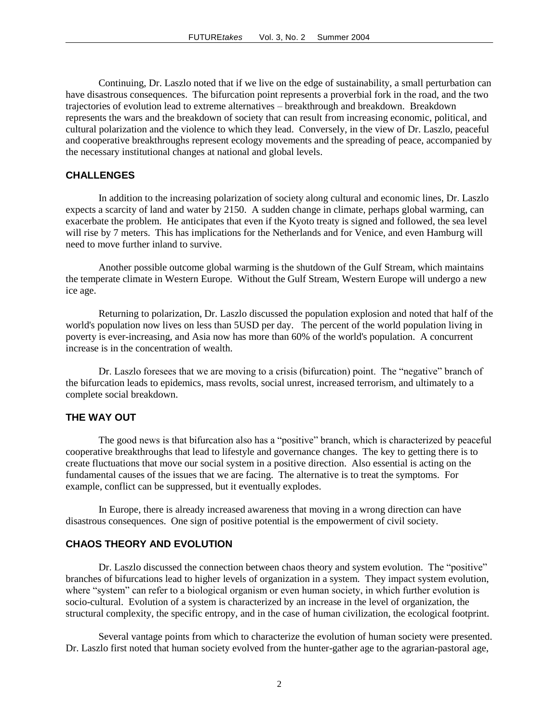Continuing, Dr. Laszlo noted that if we live on the edge of sustainability, a small perturbation can have disastrous consequences. The bifurcation point represents a proverbial fork in the road, and the two trajectories of evolution lead to extreme alternatives – breakthrough and breakdown. Breakdown represents the wars and the breakdown of society that can result from increasing economic, political, and cultural polarization and the violence to which they lead. Conversely, in the view of Dr. Laszlo, peaceful and cooperative breakthroughs represent ecology movements and the spreading of peace, accompanied by the necessary institutional changes at national and global levels.

#### **CHALLENGES**

In addition to the increasing polarization of society along cultural and economic lines, Dr. Laszlo expects a scarcity of land and water by 2150. A sudden change in climate, perhaps global warming, can exacerbate the problem. He anticipates that even if the Kyoto treaty is signed and followed, the sea level will rise by 7 meters. This has implications for the Netherlands and for Venice, and even Hamburg will need to move further inland to survive.

Another possible outcome global warming is the shutdown of the Gulf Stream, which maintains the temperate climate in Western Europe. Without the Gulf Stream, Western Europe will undergo a new ice age.

Returning to polarization, Dr. Laszlo discussed the population explosion and noted that half of the world's population now lives on less than 5USD per day. The percent of the world population living in poverty is ever-increasing, and Asia now has more than 60% of the world's population. A concurrent increase is in the concentration of wealth.

Dr. Laszlo foresees that we are moving to a crisis (bifurcation) point. The "negative" branch of the bifurcation leads to epidemics, mass revolts, social unrest, increased terrorism, and ultimately to a complete social breakdown.

#### **THE WAY OUT**

The good news is that bifurcation also has a "positive" branch, which is characterized by peaceful cooperative breakthroughs that lead to lifestyle and governance changes. The key to getting there is to create fluctuations that move our social system in a positive direction. Also essential is acting on the fundamental causes of the issues that we are facing. The alternative is to treat the symptoms. For example, conflict can be suppressed, but it eventually explodes.

In Europe, there is already increased awareness that moving in a wrong direction can have disastrous consequences. One sign of positive potential is the empowerment of civil society.

#### **CHAOS THEORY AND EVOLUTION**

Dr. Laszlo discussed the connection between chaos theory and system evolution. The "positive" branches of bifurcations lead to higher levels of organization in a system. They impact system evolution, where "system" can refer to a biological organism or even human society, in which further evolution is socio-cultural. Evolution of a system is characterized by an increase in the level of organization, the structural complexity, the specific entropy, and in the case of human civilization, the ecological footprint.

Several vantage points from which to characterize the evolution of human society were presented. Dr. Laszlo first noted that human society evolved from the hunter-gather age to the agrarian-pastoral age,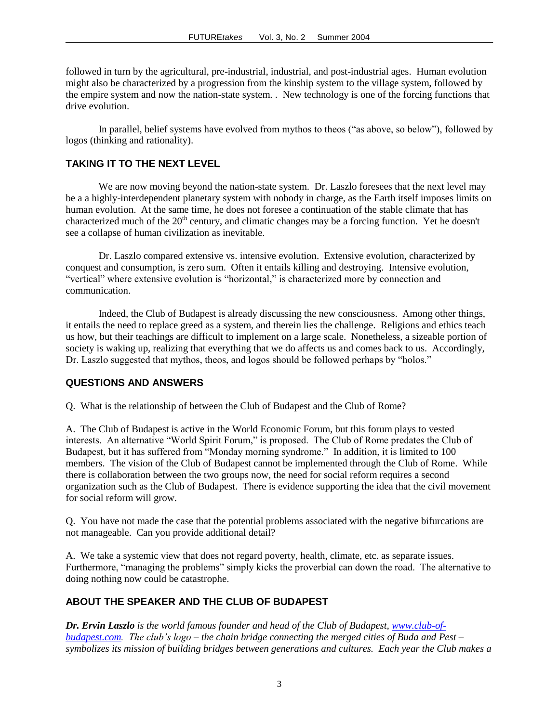followed in turn by the agricultural, pre-industrial, industrial, and post-industrial ages. Human evolution might also be characterized by a progression from the kinship system to the village system, followed by the empire system and now the nation-state system. . New technology is one of the forcing functions that drive evolution.

In parallel, belief systems have evolved from mythos to theos ("as above, so below"), followed by logos (thinking and rationality).

# **TAKING IT TO THE NEXT LEVEL**

We are now moving beyond the nation-state system. Dr. Laszlo fore sees that the next level may be a a highly-interdependent planetary system with nobody in charge, as the Earth itself imposes limits on human evolution. At the same time, he does not foresee a continuation of the stable climate that has characterized much of the  $20<sup>th</sup>$  century, and climatic changes may be a forcing function. Yet he doesn't see a collapse of human civilization as inevitable.

Dr. Laszlo compared extensive vs. intensive evolution. Extensive evolution, characterized by conquest and consumption, is zero sum. Often it entails killing and destroying. Intensive evolution, "vertical" where extensive evolution is "horizontal," is characterized more by connection and communication.

Indeed, the Club of Budapest is already discussing the new consciousness. Among other things, it entails the need to replace greed as a system, and therein lies the challenge. Religions and ethics teach us how, but their teachings are difficult to implement on a large scale. Nonetheless, a sizeable portion of society is waking up, realizing that everything that we do affects us and comes back to us. Accordingly, Dr. Laszlo suggested that mythos, theos, and logos should be followed perhaps by "holos."

#### **QUESTIONS AND ANSWERS**

Q. What is the relationship of between the Club of Budapest and the Club of Rome?

A. The Club of Budapest is active in the World Economic Forum, but this forum plays to vested interests. An alternative "World Spirit Forum," is proposed. The Club of Rome predates the Club of Budapest, but it has suffered from "Monday morning syndrome." In addition, it is limited to 100 members. The vision of the Club of Budapest cannot be implemented through the Club of Rome. While there is collaboration between the two groups now, the need for social reform requires a second organization such as the Club of Budapest. There is evidence supporting the idea that the civil movement for social reform will grow.

Q. You have not made the case that the potential problems associated with the negative bifurcations are not manageable. Can you provide additional detail?

A. We take a systemic view that does not regard poverty, health, climate, etc. as separate issues. Furthermore, "managing the problems" simply kicks the proverbial can down the road. The alternative to doing nothing now could be catastrophe.

# **ABOUT THE SPEAKER AND THE CLUB OF BUDAPEST**

*Dr. Ervin Laszlo is the world famous founder and head of the Club of Budapest, [www.club-of](http://www.club-of-budapest.com/)[budapest.com.](http://www.club-of-budapest.com/) The club's logo – the chain bridge connecting the merged cities of Buda and Pest – symbolizes its mission of building bridges between generations and cultures. Each year the Club makes a*